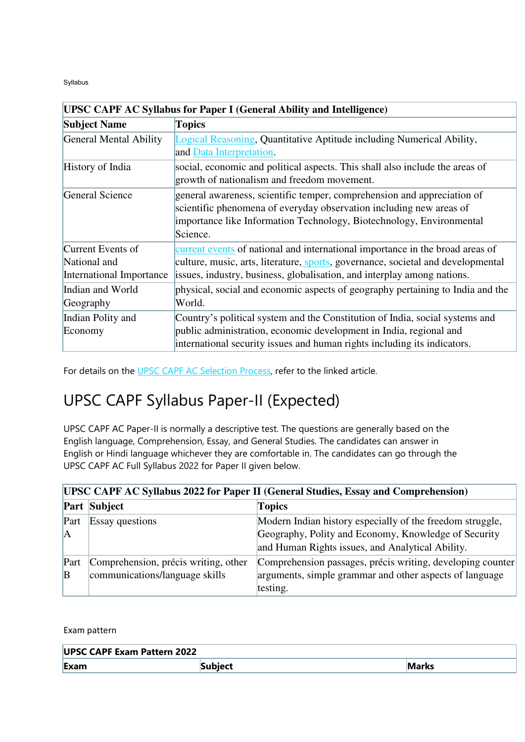Syllabus

| <b>UPSC CAPF AC Syllabus for Paper I (General Ability and Intelligence)</b>                         |                                                                                                                                                                                                                                    |  |  |  |
|-----------------------------------------------------------------------------------------------------|------------------------------------------------------------------------------------------------------------------------------------------------------------------------------------------------------------------------------------|--|--|--|
| <b>Subject Name</b>                                                                                 | <b>Topics</b>                                                                                                                                                                                                                      |  |  |  |
| General Mental Ability                                                                              | Logical Reasoning, Quantitative Aptitude including Numerical Ability,<br>and Data Interpretation.                                                                                                                                  |  |  |  |
| History of India                                                                                    | social, economic and political aspects. This shall also include the areas of<br>growth of nationalism and freedom movement.                                                                                                        |  |  |  |
| General Science                                                                                     | general awareness, scientific temper, comprehension and appreciation of<br>scientific phenomena of everyday observation including new areas of<br>importance like Information Technology, Biotechnology, Environmental<br>Science. |  |  |  |
| Current Events of                                                                                   | current events of national and international importance in the broad areas of                                                                                                                                                      |  |  |  |
| National and                                                                                        | culture, music, arts, literature, sports, governance, societal and developmental                                                                                                                                                   |  |  |  |
| issues, industry, business, globalisation, and interplay among nations.<br>International Importance |                                                                                                                                                                                                                                    |  |  |  |
| Indian and World<br>Geography                                                                       | physical, social and economic aspects of geography pertaining to India and the<br>World.                                                                                                                                           |  |  |  |
| Indian Polity and<br>Economy                                                                        | Country's political system and the Constitution of India, social systems and<br>public administration, economic development in India, regional and<br>international security issues and human rights including its indicators.     |  |  |  |

For details on the [UPSC CAPF AC Selection Process,](https://testbook.com/upsc-capf-ac/selection-process) refer to the linked article.

# UPSC CAPF Syllabus Paper-II (Expected)

UPSC CAPF AC Paper-II is normally a descriptive test. The questions are generally based on the English language, Comprehension, Essay, and General Studies. The candidates can answer in English or Hindi language whichever they are comfortable in. The candidates can go through the UPSC CAPF AC Full Syllabus 2022 for Paper II given below.

| UPSC CAPF AC Syllabus 2022 for Paper II (General Studies, Essay and Comprehension) |                                                                        |                                                                                                                                                                       |  |  |  |
|------------------------------------------------------------------------------------|------------------------------------------------------------------------|-----------------------------------------------------------------------------------------------------------------------------------------------------------------------|--|--|--|
|                                                                                    | <b>Part Subject</b>                                                    | <b>Topics</b>                                                                                                                                                         |  |  |  |
| Part<br> A                                                                         | <b>Essay questions</b>                                                 | Modern Indian history especially of the freedom struggle,<br>Geography, Polity and Economy, Knowledge of Security<br>and Human Rights issues, and Analytical Ability. |  |  |  |
| Part<br>$\mathbf{B}$                                                               | Comprehension, précis writing, other<br>communications/language skills | Comprehension passages, précis writing, developing counter<br>arguments, simple grammar and other aspects of language<br>testing.                                     |  |  |  |

Exam pattern

| <b>UPSC CAPF Exam Pattern 2022</b> |         |       |  |  |  |
|------------------------------------|---------|-------|--|--|--|
| Exam                               | Subject | Marks |  |  |  |